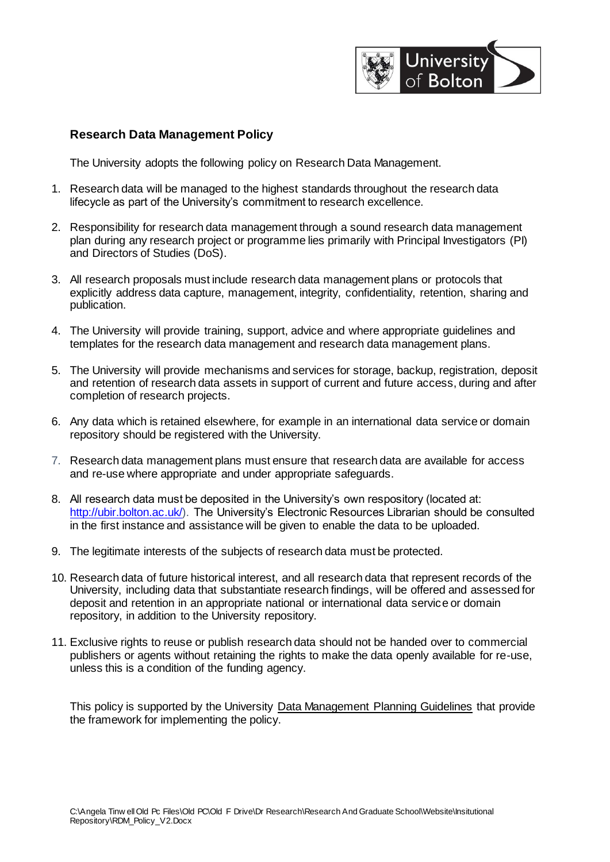

## **Research Data Management Policy**

The University adopts the following policy on Research Data Management.

- 1. Research data will be managed to the highest standards throughout the research data lifecycle as part of the University's commitment to research excellence.
- 2. Responsibility for research data management through a sound research data management plan during any research project or programme lies primarily with Principal Investigators (PI) and Directors of Studies (DoS).
- 3. All research proposals must include research data management plans or protocols that explicitly address data capture, management, integrity, confidentiality, retention, sharing and publication.
- 4. The University will provide training, support, advice and where appropriate guidelines and templates for the research data management and research data management plans.
- 5. The University will provide mechanisms and services for storage, backup, registration, deposit and retention of research data assets in support of current and future access, during and after completion of research projects.
- 6. Any data which is retained elsewhere, for example in an international data service or domain repository should be registered with the University.
- 7. Research data management plans must ensure that research data are available for access and re-use where appropriate and under appropriate safeguards.
- 8. All research data must be deposited in the University's own respository (located at: [http://ubir.bolton.ac.uk/\).](http://ubir.bolton.ac.uk/) The University's Electronic Resources Librarian should be consulted in the first instance and assistance will be given to enable the data to be uploaded.
- 9. The legitimate interests of the subjects of research data must be protected.
- 10. Research data of future historical interest, and all research data that represent records of the University, including data that substantiate research findings, will be offered and assessed for deposit and retention in an appropriate national or international data service or domain repository, in addition to the University repository.
- 11. Exclusive rights to reuse or publish research data should not be handed over to commercial publishers or agents without retaining the rights to make the data openly available for re-use, unless this is a condition of the funding agency.

This policy is supported by the University Data Management Planning Guidelines that provide the framework for implementing the policy.